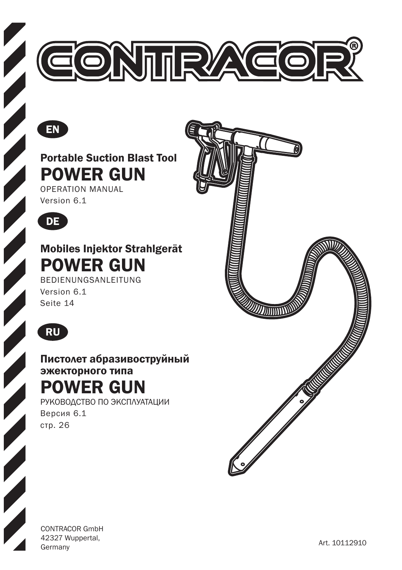



Portable Suction Blast Tool POWER GUN

OPERATION MANUAL Version 6.1



Mobiles Injektor Strahlgerät POWER GUN

BEDIENUNGSANLEITUNG Version 6.1 Seite 14



Пистолет абразивоструйный эжекторного типа POWER GUN

РУКОВОДСТВО ПО ЭКСПЛУАТАЦИИ Версия 6.1 стр. 26



CONTRACOR GmbH 42327 Wuppertal, Art. 10112910<br>Germany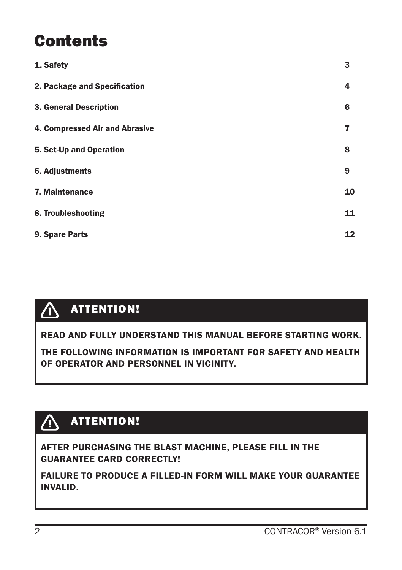### **Contents**

| 1. Safety                      | 3  |
|--------------------------------|----|
| 2. Package and Specification   | 4  |
| 3. General Description         | 6  |
| 4. Compressed Air and Abrasive | 7  |
| 5. Set-Up and Operation        | 8  |
| 6. Adjustments                 | 9  |
| 7. Maintenance                 | 10 |
| 8. Troubleshooting             | 11 |
| 9. Spare Parts                 | 12 |

#### ATTENTION! **A**

READ AND FULLY UNDERSTAND THIS MANUAL BEFORE STARTING WORK.

THE FOLLOWING INFORMATION IS IMPORTANT FOR SAFETY AND HEALTH OF OPERATOR AND PERSONNEL IN VICINITY.

#### $\bigwedge$ ATTENTION!

#### AFTER PURCHASING THE BLAST MACHINE, PLEASE FILL IN THE GUARANTEE CARD CORRECTLY!

FAILURE TO PRODUCE A FILLED-IN FORM WILL MAKE YOUR GUARANTEE INVALID.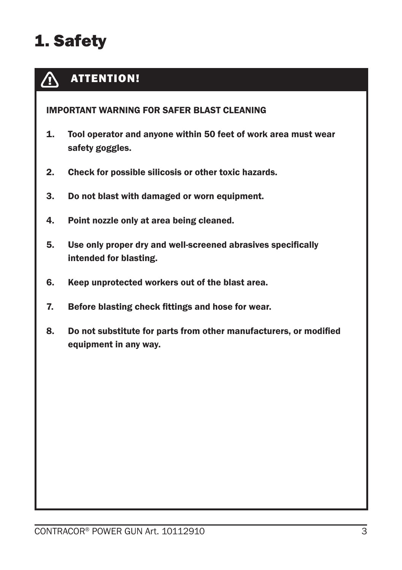## 1. Safety

#### ATTENTION! **A**

#### IMPORTANT WARNING FOR SAFER BLAST CLEANING

- 1. Tool operator and anyone within 50 feet of work area must wear safety goggles.
- 2. Check for possible silicosis or other toxic hazards.
- 3. Do not blast with damaged or worn equipment.
- 4. Point nozzle only at area being cleaned.
- 5. Use only proper dry and well-screened abrasives specifically intended for blasting.
- 6. Keep unprotected workers out of the blast area.
- 7. Before blasting check fittings and hose for wear.
- 8. Do not substitute for parts from other manufacturers, or modified equipment in any way.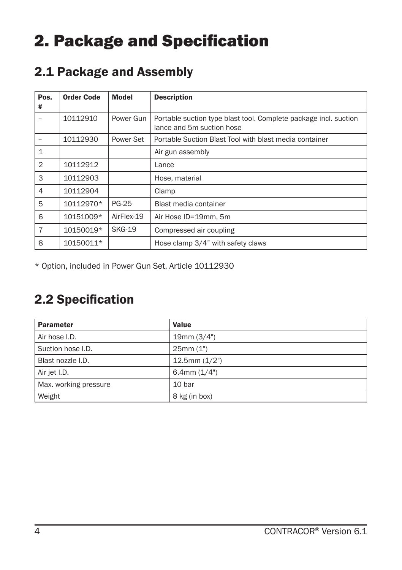## 2. Package and Specification

### 2.1 Package and Assembly

| Pos.<br>#      | <b>Order Code</b> | Model         | <b>Description</b>                                                                            |
|----------------|-------------------|---------------|-----------------------------------------------------------------------------------------------|
|                | 10112910          | Power Gun     | Portable suction type blast tool. Complete package incl. suction<br>lance and 5m suction hose |
|                | 10112930          | Power Set     | Portable Suction Blast Tool with blast media container                                        |
| 1              |                   |               | Air gun assembly                                                                              |
| $\overline{2}$ | 10112912          |               | Lance                                                                                         |
| 3              | 10112903          |               | Hose, material                                                                                |
| 4              | 10112904          |               | Clamp                                                                                         |
| 5              | 10112970*         | <b>PG-25</b>  | Blast media container                                                                         |
| 6              | 10151009*         | AirFlex-19    | Air Hose ID=19mm, 5m                                                                          |
| $\overline{7}$ | 10150019*         | <b>SKG-19</b> | Compressed air coupling                                                                       |
| 8              | 10150011*         |               | Hose clamp 3/4" with safety claws                                                             |

\* Option, included in Power Gun Set, Article 10112930

### 2.2 Specification

| <b>Parameter</b>      | Value              |
|-----------------------|--------------------|
| Air hose I.D.         | 19mm (3/4")        |
| Suction hose I.D.     | 25mm(1")           |
| Blast nozzle I.D.     | $12.5$ mm $(1/2")$ |
| Air jet I.D.          | 6.4mm $(1/4")$     |
| Max. working pressure | 10 bar             |
| Weight                | 8 kg (in box)      |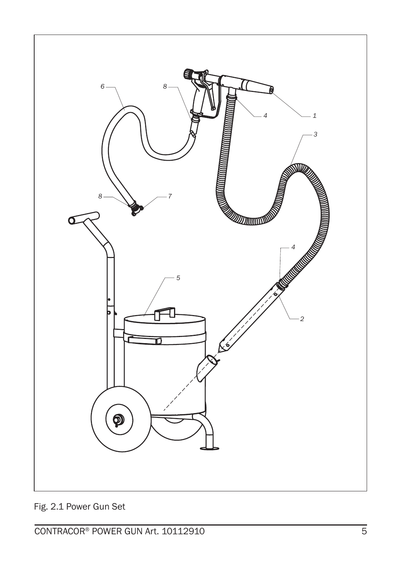

Fig. 2.1 Power Gun Set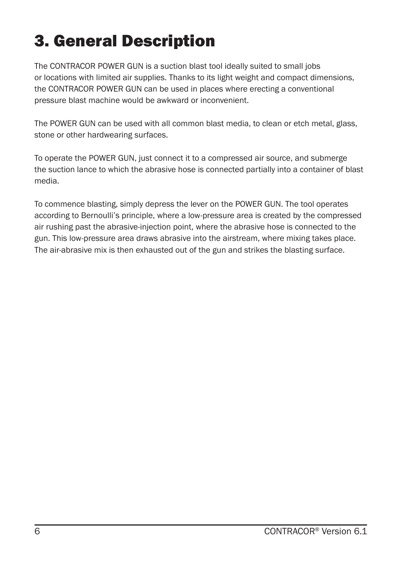## 3. General Description

The CONTRACOR POWER GUN is a suction blast tool ideally suited to small jobs or locations with limited air supplies. Thanks to its light weight and compact dimensions, the CONTRACOR POWER GUN can be used in places where erecting a conventional pressure blast machine would be awkward or inconvenient.

The POWER GUN can be used with all common blast media, to clean or etch metal, glass, stone or other hardwearing surfaces.

To operate the POWER GUN, just connect it to a compressed air source, and submerge the suction lance to which the abrasive hose is connected partially into a container of blast media.

To commence blasting, simply depress the lever on the POWER GUN. The tool operates according to Bernoulli's principle, where a low-pressure area is created by the compressed air rushing past the abrasive-injection point, where the abrasive hose is connected to the gun. This low-pressure area draws abrasive into the airstream, where mixing takes place. The air-abrasive mix is then exhausted out of the gun and strikes the blasting surface.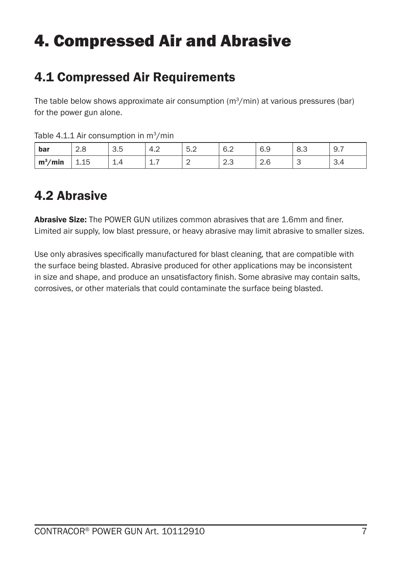## 4. Compressed Air and Abrasive

### 4.1 Compressed Air Requirements

The table below shows approximate air consumption  $(m^3/min)$  at various pressures (bar) for the power gun alone.

| bar                    | $\Omega$<br>Z.ŏ | つに<br>ن.ب | $\sim$<br>4.∠ | -<br>٠<br>$\cup$ . $\angle$ | 6.2                         | 6.9                  | ാ<br>O.J | ୬. ।            |
|------------------------|-----------------|-----------|---------------|-----------------------------|-----------------------------|----------------------|----------|-----------------|
| 'min<br>m <sup>3</sup> | 15<br>⊥.⊥∪      | <u>.</u>  | --            | -                           | $\sim$ $\sim$<br>ن. ے<br>-- | $\sim$ $\sim$<br>2.6 | ັ        | $\sim$<br>- 3.4 |

Table  $4.1.1$  Air consumption in  $m^3/min$ 

#### 4.2 Abrasive

Abrasive Size: The POWER GUN utilizes common abrasives that are 1.6mm and finer. Limited air supply, low blast pressure, or heavy abrasive may limit abrasive to smaller sizes.

Use only abrasives specifically manufactured for blast cleaning, that are compatible with the surface being blasted. Abrasive produced for other applications may be inconsistent in size and shape, and produce an unsatisfactory finish. Some abrasive may contain salts, corrosives, or other materials that could contaminate the surface being blasted.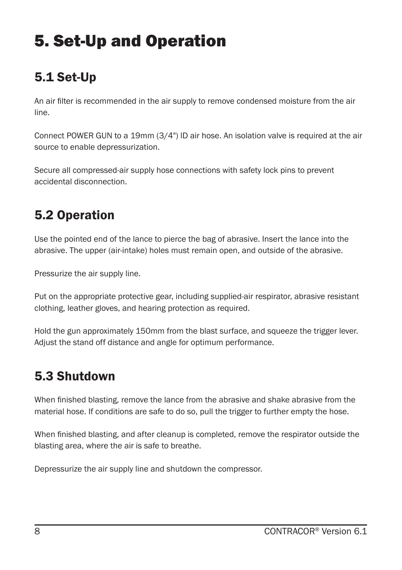## 5. Set-Up and Operation

### 5.1 Set-Up

An air filter is recommended in the air supply to remove condensed moisture from the air line.

Connect POWER GUN to a 19mm (3/4") lD air hose. An isolation valve is required at the air source to enable depressurization.

Secure all compressed-air supply hose connections with safety lock pins to prevent accidental disconnection.

### 5.2 Operation

Use the pointed end of the lance to pierce the bag of abrasive. Insert the lance into the abrasive. The upper (air-intake) holes must remain open, and outside of the abrasive.

Pressurize the air supply line.

Put on the appropriate protective gear, including supplied-air respirator, abrasive resistant clothing, leather gloves, and hearing protection as required.

Hold the gun approximately 150mm from the blast surface, and squeeze the trigger lever. Adjust the stand off distance and angle for optimum performance.

### 5.3 Shutdown

When finished blasting, remove the lance from the abrasive and shake abrasive from the material hose. If conditions are safe to do so, pull the trigger to further empty the hose.

When finished blasting, and after cleanup is completed, remove the respirator outside the blasting area, where the air is safe to breathe.

Depressurize the air supply line and shutdown the compressor.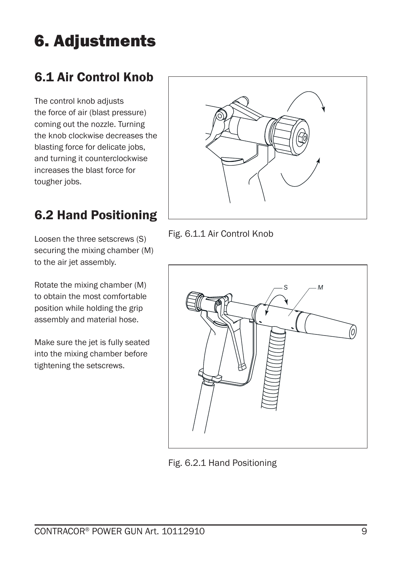## 6. Adjustments

### 6.1 Air Control Knob

The control knob adjusts the force of air (blast pressure) coming out the nozzle. Turning the knob clockwise decreases the blasting force for delicate jobs, and turning it counterclockwise increases the blast force for tougher jobs.

### 6.2 Hand Positioning

Loosen the three setscrews (S) securing the mixing chamber (M) to the air jet assembly.

Rotate the mixing chamber (M) to obtain the most comfortable position while holding the grip assembly and material hose.

Make sure the jet is fully seated into the mixing chamber before tightening the setscrews.



Fig. 6.1.1 Air Control Knob



Fig. 6.2.1 Hand Positioning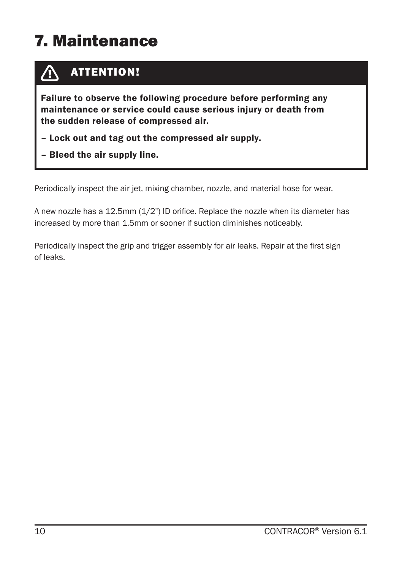## 7. Maintenance

#### ATTENTION!  $\bigwedge$

Failure to observe the following procedure before performing any maintenance or service could cause serious injury or death from the sudden release of compressed air.

- Lock out and tag out the compressed air supply.
- Bleed the air supply line.

Periodically inspect the air jet, mixing chamber, nozzle, and material hose for wear.

A new nozzle has a 12.5mm (1/2") ID orifice. Replace the nozzle when its diameter has increased by more than 1.5mm or sooner if suction diminishes noticeably.

Periodically inspect the grip and trigger assembly for air leaks. Repair at the first sign of leaks.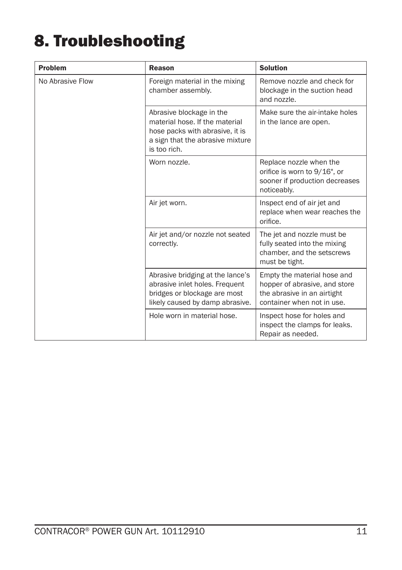## 8. Troubleshooting

| <b>Problem</b>   | Reason                                                                                                                                            | <b>Solution</b>                                                                                                           |
|------------------|---------------------------------------------------------------------------------------------------------------------------------------------------|---------------------------------------------------------------------------------------------------------------------------|
| No Abrasive Flow | Foreign material in the mixing<br>chamber assembly.                                                                                               | Remove nozzle and check for<br>blockage in the suction head<br>and nozzle.                                                |
|                  | Abrasive blockage in the<br>material hose. If the material<br>hose packs with abrasive, it is<br>a sign that the abrasive mixture<br>is too rich. | Make sure the air-intake holes<br>in the lance are open.                                                                  |
|                  | Worn nozzle.                                                                                                                                      | Replace nozzle when the<br>orifice is worn to 9/16", or<br>sooner if production decreases<br>noticeably.                  |
|                  | Air jet worn.                                                                                                                                     | Inspect end of air jet and<br>replace when wear reaches the<br>orifice.                                                   |
|                  | Air jet and/or nozzle not seated<br>correctly.                                                                                                    | The jet and nozzle must be<br>fully seated into the mixing<br>chamber, and the setscrews<br>must be tight.                |
|                  | Abrasive bridging at the lance's<br>abrasive inlet holes. Frequent<br>bridges or blockage are most<br>likely caused by damp abrasive.             | Empty the material hose and<br>hopper of abrasive, and store<br>the abrasive in an airtight<br>container when not in use. |
|                  | Hole worn in material hose.                                                                                                                       | Inspect hose for holes and<br>inspect the clamps for leaks.<br>Repair as needed.                                          |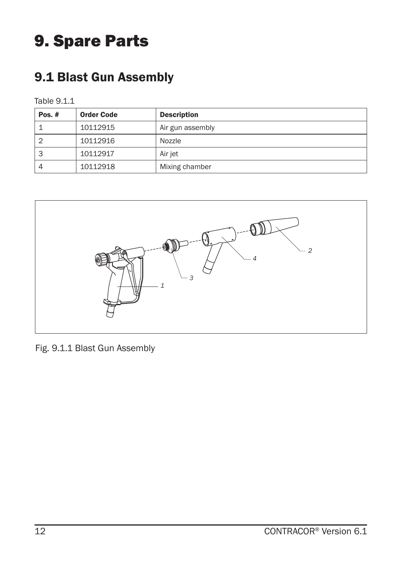### 9. Spare Parts

### 9.1 Blast Gun Assembly

#### Table 9.1.1

| Pos. $#$ | <b>Order Code</b> | <b>Description</b> |
|----------|-------------------|--------------------|
|          | 10112915          | Air gun assembly   |
| 2        | 10112916          | Nozzle             |
| 3        | 10112917          | Air jet            |
| 4        | 10112918          | Mixing chamber     |



Fig. 9.1.1 Blast Gun Assembly

*9*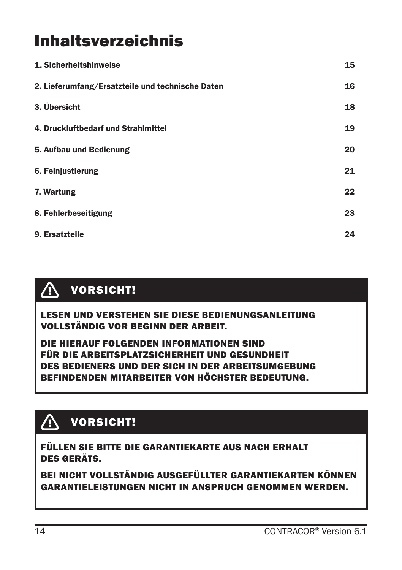### Inhaltsverzeichnis

| 1. Sicherheitshinweise                           | 15 |
|--------------------------------------------------|----|
| 2. Lieferumfang/Ersatzteile und technische Daten | 16 |
| 3. Übersicht                                     | 18 |
| 4. Druckluftbedarf und Strahlmittel              | 19 |
| 5. Aufbau und Bedienung                          | 20 |
| 6. Feinjustierung                                | 21 |
| 7. Wartung                                       | 22 |
| 8. Fehlerbeseitigung                             | 23 |
| 9. Ersatzteile                                   | 24 |

#### $\bigwedge$ VORSICHT!

LESEN UND VERSTEHEN SIE DIESE BEDIENUNGSANLEITUNG VOLLSTÄNDIG VOR BEGINN DER ARBEIT.

DIE HIERAUF FOLGENDEN INFORMATIONEN SIND FÜR DIE ARBEITSPLATZSICHERHEIT UND GESUNDHEIT DES BEDIENERS UND DER SICH IN DER ARBEITSUMGEBUNG BEFINDENDEN MITARBEITER VON HÖCHSTER BEDEUTUNG.

#### VORSICHT! **A**

FÜLLEN SIE BITTE DIE GARANTIEKARTE AUS NACH ERHALT DES GERÄTS.

BEI NICHT VOLLSTÄNDIG AUSGEFÜLLTER GARANTIEKARTEN KÖNNEN GARANTIELEISTUNGEN NICHT IN ANSPRUCH GENOMMEN WERDEN.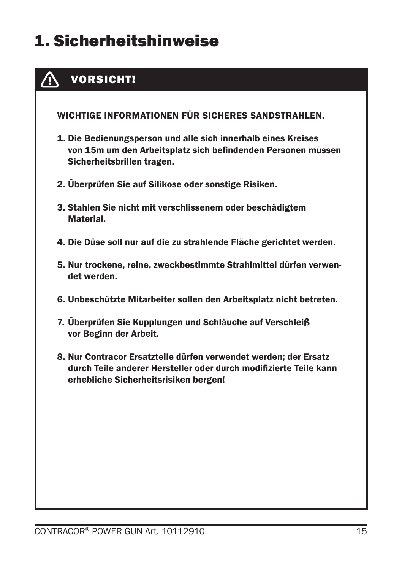## 1. Sicherheitshinweise

#### Λ VORSICHT!

WICHTIGE INFORMATIONEN FÜR SICHERES SANDSTRAHLEN.

- 1. Die Bedienungsperson und alle sich innerhalb eines Kreises von 15m um den Arbeitsplatz sich befindenden Personen müssen Sicherheitsbrillen tragen.
- 2. Überprüfen Sie auf Silikose oder sonstige Risiken.
- 3. Stahlen Sie nicht mit verschlissenem oder beschädigtem Material.
- 4. Die Düse soll nur auf die zu strahlende Fläche gerichtet werden.
- 5. Nur trockene, reine, zweckbestimmte Strahlmittel dürfen verwendet werden.
- 6. Unbeschützte Mitarbeiter sollen den Arbeitsplatz nicht betreten.
- 7. Überprüfen Sie Kupplungen und Schläuche auf Verschleiß vor Beginn der Arbeit.
- 8. Nur Contracor Ersatzteile dürfen verwendet werden; der Ersatz durch Teile anderer Hersteller oder durch modifizierte Teile kann erhebliche Sicherheitsrisiken bergen!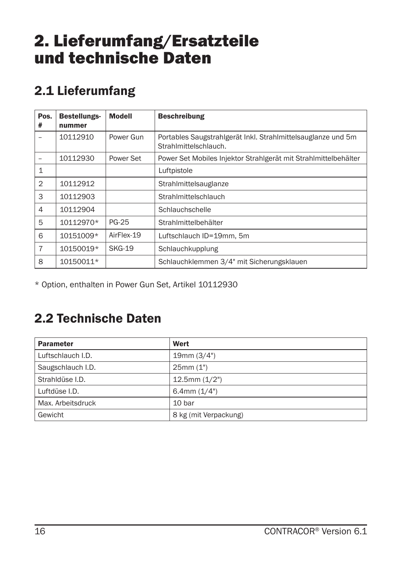### 2. Lieferumfang/Ersatzteile und technische Daten

### 2.1 Lieferumfang

| Pos.<br>#      | Bestellungs-<br>nummer | <b>Modell</b> | <b>Beschreibung</b>                                                                   |
|----------------|------------------------|---------------|---------------------------------------------------------------------------------------|
|                | 10112910               | Power Gun     | Portables Saugstrahlgerät Inkl. Strahlmittelsauglanze und 5m<br>Strahlmittelschlauch. |
|                | 10112930               | Power Set     | Power Set Mobiles Injektor Strahlgerät mit Strahlmittelbehälter                       |
| $\mathbf{1}$   |                        |               | Luftpistole                                                                           |
| $\overline{2}$ | 10112912               |               | Strahlmittelsauglanze                                                                 |
| 3              | 10112903               |               | Strahlmittelschlauch                                                                  |
| 4              | 10112904               |               | Schlauchschelle                                                                       |
| 5              | 10112970*              | <b>PG-25</b>  | Strahlmittelbehälter                                                                  |
| 6              | 10151009*              | AirFlex-19    | Luftschlauch ID=19mm, 5m                                                              |
| $\overline{7}$ | 10150019*              | <b>SKG-19</b> | Schlauchkupplung                                                                      |
| 8              | 10150011*              |               | Schlauchklemmen 3/4" mit Sicherungsklauen                                             |

\* Option, enthalten in Power Gun Set, Artikel 10112930

### 2.2 Technische Daten

| <b>Parameter</b>  | Wert                  |
|-------------------|-----------------------|
| Luftschlauch I.D. | 19mm (3/4")           |
| Saugschlauch I.D. | 25mm(1")              |
| Strahldüse I.D.   | $12.5$ mm $(1/2")$    |
| Luftdüse I.D.     | 6.4mm $(1/4")$        |
| Max. Arbeitsdruck | 10 bar                |
| Gewicht           | 8 kg (mit Verpackung) |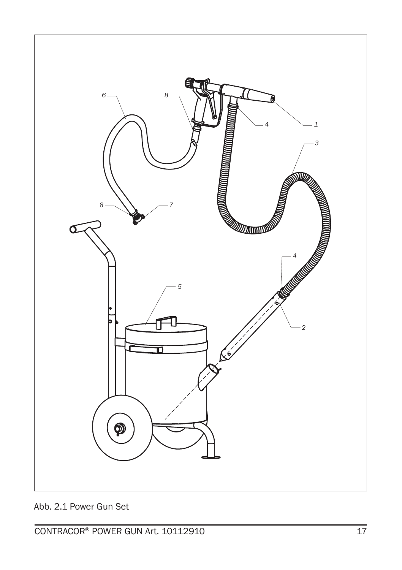

Abb. 2.1 Power Gun Set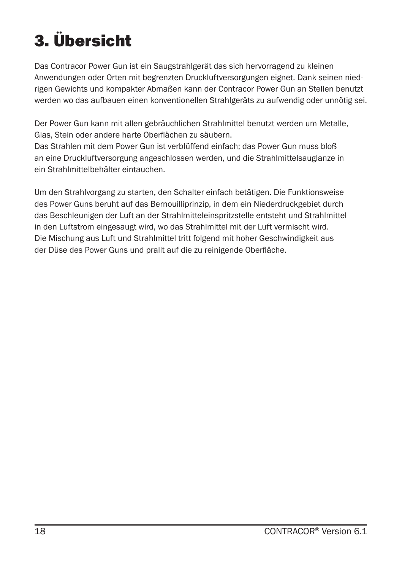## 3. Übersicht

Das Contracor Power Gun ist ein Saugstrahlgerät das sich hervorragend zu kleinen Anwendungen oder Orten mit begrenzten Druckluftversorgungen eignet. Dank seinen niedrigen Gewichts und kompakter Abmaßen kann der Contracor Power Gun an Stellen benutzt werden wo das aufbauen einen konventionellen Strahlgeräts zu aufwendig oder unnötig sei.

Der Power Gun kann mit allen gebräuchlichen Strahlmittel benutzt werden um Metalle, Glas, Stein oder andere harte Oberflächen zu säubern.

Das Strahlen mit dem Power Gun ist verblüffend einfach; das Power Gun muss bloß an eine Druckluftversorgung angeschlossen werden, und die Strahlmittelsauglanze in ein Strahlmittelbehälter eintauchen.

Um den Strahlvorgang zu starten, den Schalter einfach betätigen. Die Funktionsweise des Power Guns beruht auf das Bernouilliprinzip, in dem ein Niederdruckgebiet durch das Beschleunigen der Luft an der Strahlmitteleinspritzstelle entsteht und Strahlmittel in den Luftstrom eingesaugt wird, wo das Strahlmittel mit der Luft vermischt wird. Die Mischung aus Luft und Strahlmittel tritt folgend mit hoher Geschwindigkeit aus der Düse des Power Guns und prallt auf die zu reinigende Oberfläche.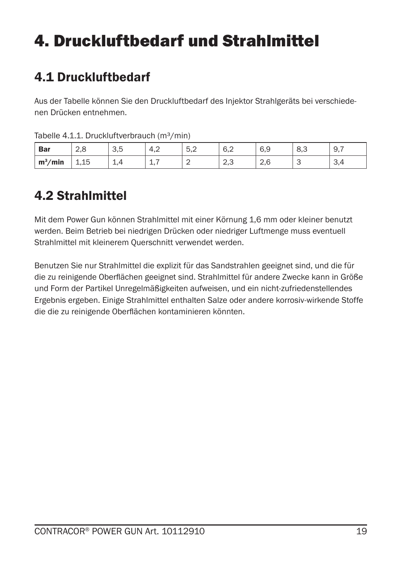## 4. Druckluftbedarf und Strahlmittel

### 4.1 Druckluftbedarf

Aus der Tabelle können Sie den Druckluftbedarf des Injektor Strahlgeräts bei verschiedenen Drücken entnehmen.

| ______     |                 | .                 |                     |                                                  |                      |     |     |                 |
|------------|-----------------|-------------------|---------------------|--------------------------------------------------|----------------------|-----|-----|-----------------|
| <b>Bar</b> | $\Omega$<br>2,0 | $\sim$ $-$<br>ن,ب | $\sim$<br>–,∠       | π<br>$\overline{\phantom{a}}$<br>$\cup, \subset$ | 6,2                  | 6,9 | 8,3 | 19.1            |
| $m^3/m$ in | 15<br>⊥,⊥∪      | <u>.</u>          | -<br>$\overline{ }$ | C<br>-                                           | $\sim$ $\sim$<br>ں,ے | 2,6 |     | $\sim$<br>- 9.4 |

Tabelle 4.1.1. Druckluftverbrauch (m<sup>3</sup>/min)

#### 4.2 Strahlmittel

Mit dem Power Gun können Strahlmittel mit einer Körnung 1,6 mm oder kleiner benutzt werden. Beim Betrieb bei niedrigen Drücken oder niedriger Luftmenge muss eventuell Strahlmittel mit kleinerem Querschnitt verwendet werden.

Benutzen Sie nur Strahlmittel die explizit für das Sandstrahlen geeignet sind, und die für die zu reinigende Oberflächen geeignet sind. Strahlmittel für andere Zwecke kann in Größe und Form der Partikel Unregelmäßigkeiten aufweisen, und ein nicht-zufriedenstellendes Ergebnis ergeben. Einige Strahlmittel enthalten Salze oder andere korrosiv-wirkende Stoffe die die zu reinigende Oberflächen kontaminieren könnten.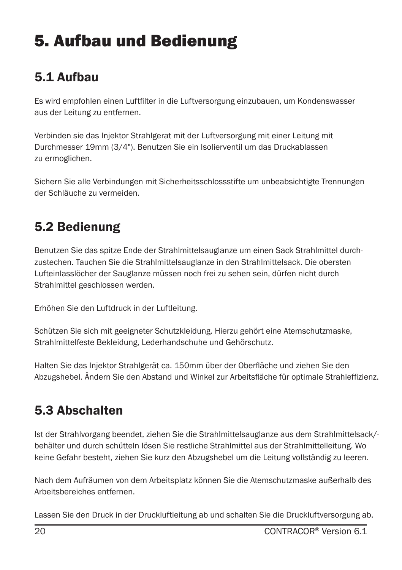## 5. Aufbau und Bedienung

### 5.1 Aufbau

Es wird empfohlen einen Luftfilter in die Luftversorgung einzubauen, um Kondenswasser aus der Leitung zu entfernen.

Verbinden sie das Injektor Strahlgerat mit der Luftversorgung mit einer Leitung mit Durchmesser 19mm (3/4"). Benutzen Sie ein Isolierventil um das Druckablassen zu ermoglichen.

Sichern Sie alle Verbindungen mit Sicherheitsschlossstifte um unbeabsichtigte Trennungen der Schläuche zu vermeiden.

### 5.2 Bedienung

Benutzen Sie das spitze Ende der Strahlmittelsauglanze um einen Sack Strahlmittel durchzustechen. Tauchen Sie die Strahlmittelsauglanze in den Strahlmittelsack. Die obersten Lufteinlasslöcher der Sauglanze müssen noch frei zu sehen sein, dürfen nicht durch Strahlmittel geschlossen werden.

Erhöhen Sie den Luftdruck in der Luftleitung.

Schützen Sie sich mit geeigneter Schutzkleidung. Hierzu gehört eine Atemschutzmaske, Strahlmittelfeste Bekleidung, Lederhandschuhe und Gehörschutz.

Halten Sie das Injektor Strahlgerät ca. 150mm über der Oberfläche und ziehen Sie den Abzugshebel. Ändern Sie den Abstand und Winkel zur Arbeitsfläche für optimale Strahleffizienz.

### 5.3 Abschalten

Ist der Strahlvorgang beendet, ziehen Sie die Strahlmittelsauglanze aus dem Strahlmittelsack/ behälter und durch schütteln lösen Sie restliche Strahlmittel aus der Strahlmittelleitung. Wo keine Gefahr besteht, ziehen Sie kurz den Abzugshebel um die Leitung vollständig zu leeren.

Nach dem Aufräumen von dem Arbeitsplatz können Sie die Atemschutzmaske außerhalb des Arbeitsbereiches entfernen.

Lassen Sie den Druck in der Druckluftleitung ab und schalten Sie die Druckluftversorgung ab.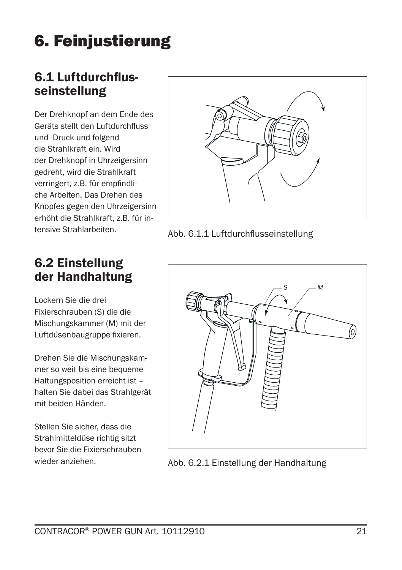## 6. Feinjustierung

# 6.1 Luftdurchflus- seinstellung

Der Drehknopf an dem Ende des Geräts stellt den Luftdurchfluss und -Druck und folgend die Strahlkraft ein. Wird der Drehknopf in Uhrzeigersinn gedreht, wird die Strahlkraft verringert, z.B. für empfindliche Arbeiten. Das Drehen des Knopfes gegen den Uhrzeigersinn erhöht die Strahlkraft, z.B. für intensive Strahlarbeiten.

#### 6.2 Einstellung der Handhaltung

Lockern Sie die drei Fixierschrauben (S) die die Mischungskammer (M) mit der Luftdüsenbaugruppe fixieren.

Drehen Sie die Mischungskammer so weit bis eine bequeme Haltungsposition erreicht ist – halten Sie dabei das Strahlgerät mit beiden Händen.

Stellen Sie sicher, dass die Strahlmitteldüse richtig sitzt bevor Sie die Fixierschrauben wieder anziehen.



Abb. 6.1.1 Luftdurchflusseinstellung



Abb. 6.2.1 Einstellung der Handhaltung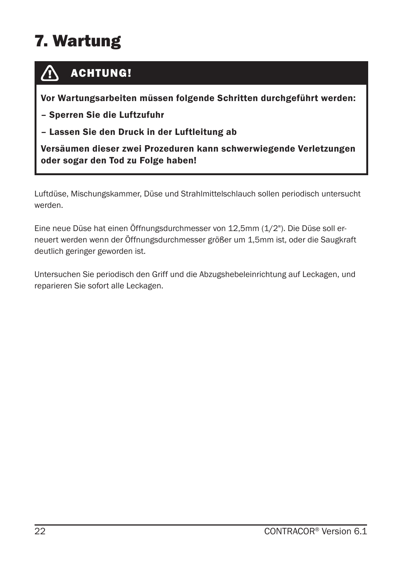## 7. Wartung



#### ACHTUNG!

Vor Wartungsarbeiten müssen folgende Schritten durchgeführt werden:

– Sperren Sie die Luftzufuhr

– Lassen Sie den Druck in der Luftleitung ab

Versäumen dieser zwei Prozeduren kann schwerwiegende Verletzungen oder sogar den Tod zu Folge haben!

Luftdüse, Mischungskammer, Düse und Strahlmittelschlauch sollen periodisch untersucht werden.

Eine neue Düse hat einen Öffnungsdurchmesser von 12,5mm (1/2"). Die Düse soll erneuert werden wenn der Öffnungsdurchmesser größer um 1,5mm ist, oder die Saugkraft deutlich geringer geworden ist.

Untersuchen Sie periodisch den Griff und die Abzugshebeleinrichtung auf Leckagen, und reparieren Sie sofort alle Leckagen.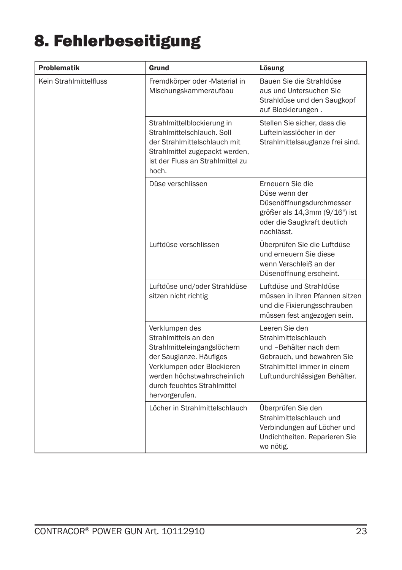## 8. Fehlerbeseitigung

| <b>Problematik</b>     | Grund                                                                                                                                                                                                          | Lösung                                                                                                                                                         |
|------------------------|----------------------------------------------------------------------------------------------------------------------------------------------------------------------------------------------------------------|----------------------------------------------------------------------------------------------------------------------------------------------------------------|
| Kein Strahlmittelfluss | Fremdkörper oder -Material in<br>Mischungskammeraufbau                                                                                                                                                         | Bauen Sie die Strahldüse<br>aus und Untersuchen Sie<br>Strahldüse und den Saugkopf<br>auf Blockierungen.                                                       |
|                        | Strahlmittelblockierung in<br>Strahlmittelschlauch, Soll<br>der Strahlmittelschlauch mit<br>Strahlmittel zugepackt werden,<br>ist der Fluss an Strahlmittel zu<br>hoch.                                        | Stellen Sie sicher, dass die<br>Lufteinlasslöcher in der<br>Strahlmittelsauglanze frei sind.                                                                   |
|                        | Düse verschlissen                                                                                                                                                                                              | Erneuern Sie die<br>Düse wenn der<br>Düsenöffnungsdurchmesser<br>größer als 14,3mm (9/16") ist<br>oder die Saugkraft deutlich<br>nachlässt.                    |
|                        | Luftdüse verschlissen                                                                                                                                                                                          | Überprüfen Sie die Luftdüse<br>und erneuern Sie diese<br>wenn Verschleiß an der<br>Düsenöffnung erscheint.                                                     |
|                        | Luftdüse und/oder Strahldüse<br>sitzen nicht richtig                                                                                                                                                           | Luftdüse und Strahldüse<br>müssen in ihren Pfannen sitzen<br>und die Fixierungsschrauben<br>müssen fest angezogen sein.                                        |
|                        | Verklumpen des<br>Strahlmittels an den<br>Strahlmitteleingangslöchern<br>der Sauglanze. Häufiges<br>Verklumpen oder Blockieren<br>werden höchstwahrscheinlich<br>durch feuchtes Strahlmittel<br>hervorgerufen. | Leeren Sie den<br>Strahlmittelschlauch<br>und -Behälter nach dem<br>Gebrauch, und bewahren Sie<br>Strahlmittel immer in einem<br>Luftundurchlässigen Behälter. |
|                        | Löcher in Strahlmittelschlauch                                                                                                                                                                                 | Überprüfen Sie den<br>Strahlmittelschlauch und<br>Verbindungen auf Löcher und<br>Undichtheiten. Reparieren Sie<br>wo nötig.                                    |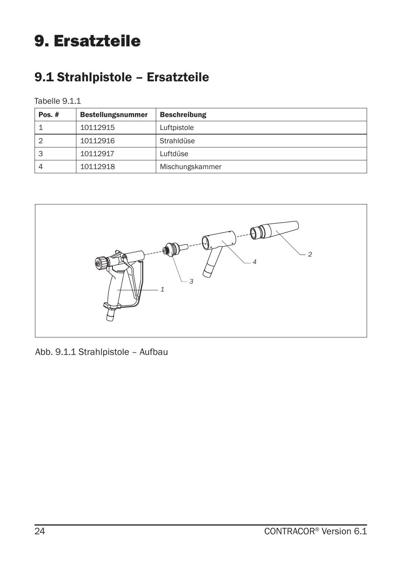### 9. Ersatzteile

### 9.1 Strahlpistole – Ersatzteile

#### Tabelle 9.1.1

| Pos. $#$ | <b>Bestellungsnummer</b> | <b>Beschreibung</b> |
|----------|--------------------------|---------------------|
|          | 10112915                 | Luftpistole         |
| 2        | 10112916                 | Strahldüse          |
| 3        | 10112917                 | Luftdüse            |
| 4        | 10112918                 | Mischungskammer     |



Abb. 9.1.1 Strahlpistole – Aufbau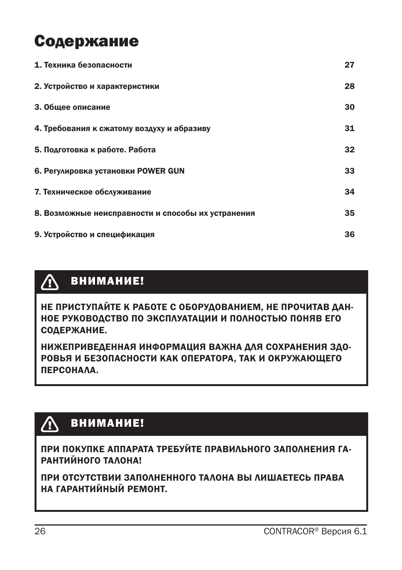### Содержание

| 1. Техника безопасности                            | 27 |
|----------------------------------------------------|----|
| 2. Устройство и характеристики                     | 28 |
| 3. Общее описание                                  | 30 |
| 4. Требования к сжатому воздуху и абразиву         | 31 |
| 5. Подготовка к работе. Работа                     | 32 |
| 6. Регулировка установки POWER GUN                 | 33 |
| 7. Техническое обслуживание                        | 34 |
| 8. Возможные неисправности и способы их устранения | 35 |
| 9. Устройство и спецификация                       | 36 |

#### $\triangle$ ВНИМАНИЕ!

НЕ ПРИСТУПАЙТЕ К РАБОТЕ С ОБОРУДОВАНИЕМ, НЕ ПРОЧИТАВ ДАН-НОЕ РУКОВОДСТВО ПО ЭКСПЛУАТАЦИИ И ПОЛНОСТЬЮ ПОНЯВ ЕГО СОДЕРЖАНИЕ.

НИЖЕПРИВЕДЕННАЯ ИНФОРМАЦИЯ ВАЖНА ДЛЯ СОХРАНЕНИЯ ЗДО-РОВЬЯ И БЕЗОПАСНОСТИ КАК ОПЕРАТОРА, ТАК И ОКРУЖАЮЩЕГО ПЕРСОНАЛА.

#### $\bigwedge$ ВНИМАНИЕ!

ПРИ ПОКУПКЕ АППАРАТА ТРЕБУЙТЕ ПРАВИЛЬНОГО ЗАПОЛНЕНИЯ ГА-РАНТИЙНОГО ТАЛОНА!

ПРИ ОТСУТСТВИИ ЗАПОЛНЕННОГО ТАЛОНА ВЫ ЛИШАЕТЕСЬ ПРАВА НА ГАРАНТИЙНЫЙ РЕМОНТ.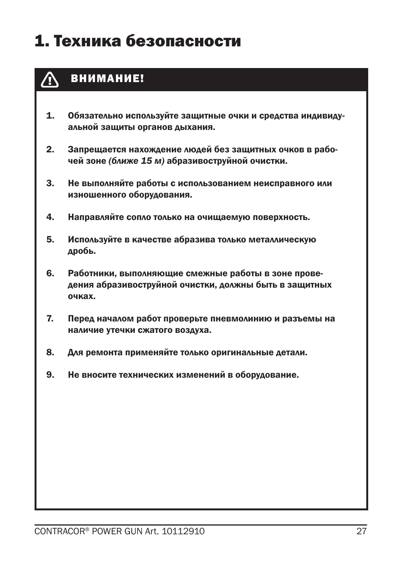### 1. Техника безопасности



#### ВНИМАНИЕ!

- 1. Обязательно используйте защитные очки и средства индивидуальной защиты органов дыхания.
- 2. Запрещается нахождение людей без защитных очков в рабочей зоне *(ближе 15 м)* абразивоструйной очистки.
- 3. Не выполняйте работы с использованием неисправного или изношенного оборудования.
- 4. Направляйте сопло только на очищаемую поверхность.
- 5. Используйте в качестве абразива только металлическую дробь.
- 6. Работники, выполняющие смежные работы в зоне проведения абразивоструйной очистки, должны быть в защитных очках.
- 7. Перед началом работ проверьте пневмолинию и разъемы на наличие утечки сжатого воздуха.
- 8. Для ремонта применяйте только оригинальные детали.
- 9. Не вносите технических изменений в оборудование.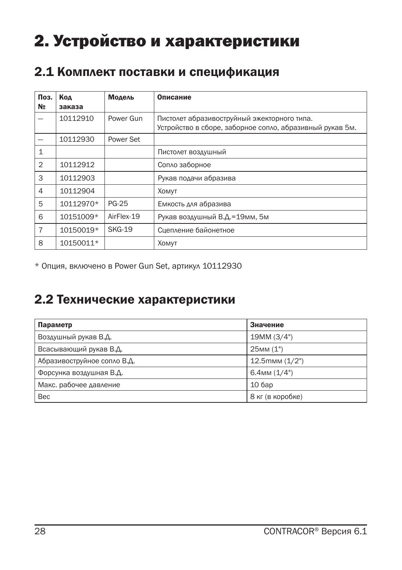## 2. Устройство и характеристики

#### 2.1 Комплект поставки и спецификация

| Поз.<br>N <sub>2</sub> | Код<br>заказа | Модель        | Описание                                                 |
|------------------------|---------------|---------------|----------------------------------------------------------|
|                        | 10112910      | Power Gun     | Пистолет абразивоструйный эжекторного типа.              |
|                        |               |               | Устройство в сборе, заборное сопло, абразивный рукав 5м. |
|                        | 10112930      | Power Set     |                                                          |
| 1                      |               |               | Пистолет воздушный                                       |
| $\overline{2}$         | 10112912      |               | Сопло заборное                                           |
| 3                      | 10112903      |               | Рукав подачи абразива                                    |
| 4                      | 10112904      |               | <b>XOMVT</b>                                             |
| 5                      | 10112970*     | <b>PG-25</b>  | Емкость для абразива                                     |
| 6                      | 10151009*     | AirFlex-19    | Рукав воздушный В.Д.=19мм, 5м                            |
| $\overline{7}$         | 10150019*     | <b>SKG-19</b> | Сцепление байонетное                                     |
| 8                      | 10150011*     |               | <b>XOMVT</b>                                             |

\* Опция, включено в Power Gun Set, артикул 10112930

#### 2.2 Технические характеристики

| Параметр                    | Значение                       |
|-----------------------------|--------------------------------|
| Воздушный рукав В.Д.        | 19MM (3/4")                    |
| Всасывающий рукав В.Д.      | $25$ <sub>MM</sub> $(1")$      |
| Абразивоструйное сопло В.Д. | $12.5$ <sub>MMM</sub> $(1/2")$ |
| Форсунка воздушная В.Д.     | $6.4$ MM $(1/4")$              |
| Макс. рабочее давление      | 106ap                          |
| <b>Bec</b>                  | 8 кг (в коробке)               |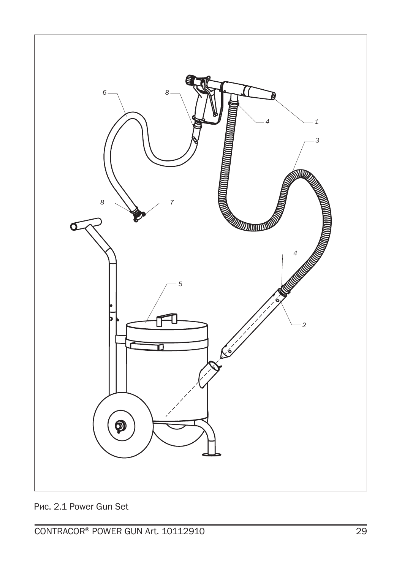

Рис. 2.1 Power Gun Set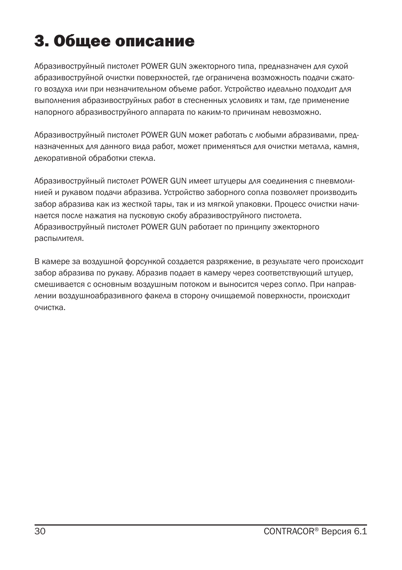## 3. Общее описание

Абразивоструйный пистолет POWER GUN эжекторного типа, предназначен для сухой абразивоструйной очистки поверхностей, где ограничена возможность подачи сжатого воздуха или при незначительном объеме работ. Устройство идеально подходит для выполнения абразивоструйных работ в стесненных условиях и там, где применение напорного абразивоструйного аппарата по каким-то причинам невозможно.

Абразивоструйный пистолет POWER GUN может работать с любыми абразивами, предназначенных для данного вида работ, может применяться для очистки металла, камня, декоративной обработки стекла.

Абразивоструйный пистолет POWER GUN имеет штуцеры для соединения с пневмолинией и рукавом подачи абразива. Устройство заборного сопла позволяет производить забор абразива как из жесткой тары, так и из мягкой упаковки. Процесс очистки начинается после нажатия на пусковую скобу абразивоструйного пистолета. Абразивоструйный пистолет POWER GUN работает по принципу эжекторного распылителя.

В камере за воздушной форсункой создается разряжение, в результате чего происходит забор абразива по рукаву. Абразив подает в камеру через соответствующий штуцер, смешивается с основным воздушным потоком и выносится через сопло. При направлении воздушноабразивного факела в сторону очищаемой поверхности, происходит очистка.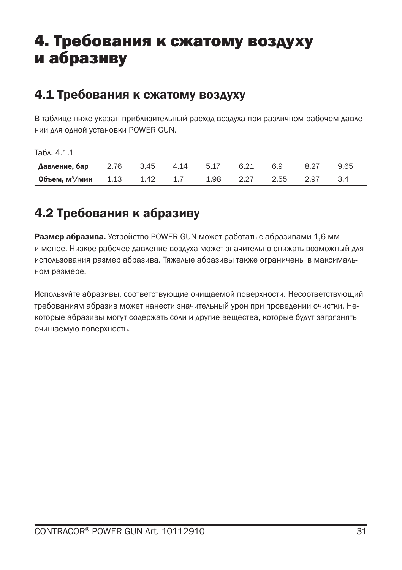### 4. Требования к сжатому воздуху и абразиву

#### 4.1 Требования к сжатому воздуху

В таблице ниже указан приблизительный расход воздуха при различном рабочем давлении для одной установки POWER GUN.

Табл. 4.1.1

| Давление, бар              | 2.76                             | 3.45 | 4.14       | -<br>h<br>.∟.ب | 6,21                       | 6,9  | O.Z  | 9,65 |
|----------------------------|----------------------------------|------|------------|----------------|----------------------------|------|------|------|
| Объем. м <sup>3</sup> /мин | $\sim$<br>$\overline{ }$<br>تتبي | 1,42 | <u>.</u> . | 1.98           | $\mathcal{L}, \mathcal{L}$ | 2.55 | 2.97 | -3,4 |

### 4.2 Требования к абразиву

Размер абразива. Устройство POWER GUN может работать с абразивами 1,6 мм и менее. Низкое рабочее давление воздуха может значительно снижать возможный для использования размер абразива. Тяжелые абразивы также ограничены в максимальном размере.

Используйте абразивы, соответствующие очищаемой поверхности. Несоответствующий требованиям абразив может нанести значительный урон при проведении очистки. Некоторые абразивы могут содержать соли и другие вещества, которые будут загрязнять очищаемую поверхность.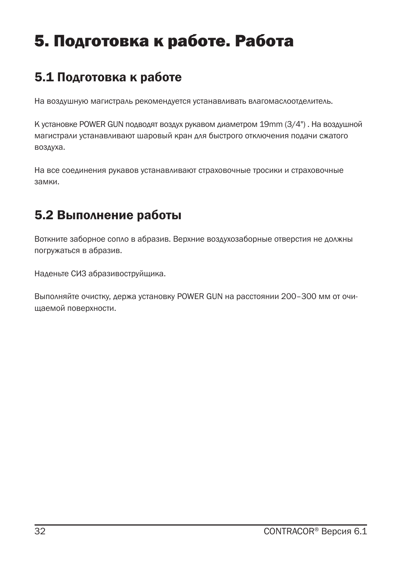## 5. Подготовка к работе. Работа

### 5.1 Подготовка к работе

На воздушную магистраль рекомендуется устанавливать влагомаслоотделитель.

К установке POWER GUN подводят воздух рукавом диаметром 19mm (3/4") . На воздушной магистрали устанавливают шаровый кран для быстрого отключения подачи сжатого воздуха.

На все соединения рукавов устанавливают страховочные тросики и страховочные замки.

### 5.2 Выполнение работы

Воткните заборное сопло в абразив. Верхние воздухозаборные отверстия не должны погружаться в абразив.

Наденьте СИЗ абразивоструйщика.

Выполняйте очистку, держа установку POWER GUN на расстоянии 200–300 мм от очищаемой поверхности.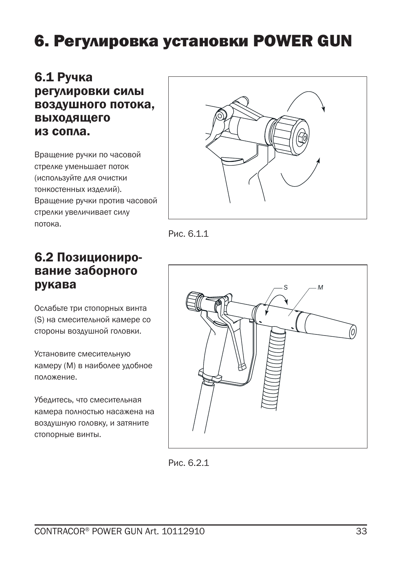### 6. Регулировка установки POWER GUN

#### 6.1 Ручка регулировки силы воздушного потока, выходящего из сопла.

Вращение ручки по часовой стрелке уменьшает поток (используйте для очистки тонкостенных изделий). Вращение ручки против часовой стрелки увеличивает силу потока.



Рис. 6.1.1

#### 6.2 Позиционирование заборного рукава

Ослабьте три стопорных винта (S) на смесительной камере со стороны воздушной головки.

Установите смесительную камеру (M) в наиболее удобное положение.

Убедитесь, что смесительная камера полностью насажена на воздушную головку, и затяните стопорные винты.



Рис. 6.2.1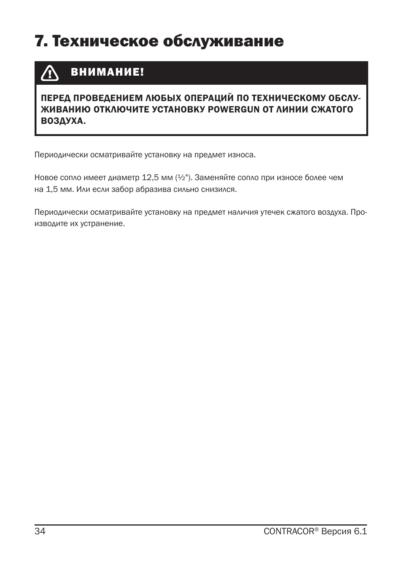### 7. Техническое обслуживание

#### ВНИМАНИЕ! /N

#### ПЕРЕД ПРОВЕДЕНИЕМ ЛЮБЫХ ОПЕРАЦИЙ ПО ТЕХНИЧЕСКОМУ ОБСЛУ-ЖИВАНИЮ ОТКЛЮЧИТЕ УСТАНОВКУ POWERGUN ОТ ЛИНИИ СЖАТОГО ВОЗДУХА.

Периодически осматривайте установку на предмет износа.

Новое сопло имеет диаметр 12,5 мм (½"). Заменяйте сопло при износе более чем на 1,5 мм. Или если забор абразива сильно снизился.

Периодически осматривайте установку на предмет наличия утечек сжатого воздуха. Производите их устранение.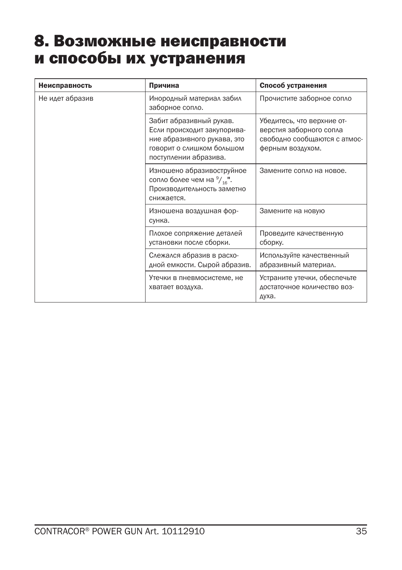### 8. Возможные неисправности и способы их устранения

| Неисправность   | Причина                                                                                                                                     | Способ устранения                                                                                         |
|-----------------|---------------------------------------------------------------------------------------------------------------------------------------------|-----------------------------------------------------------------------------------------------------------|
| Не идет абразив | Инородный материал забил<br>заборное сопло.                                                                                                 | Прочистите заборное сопло                                                                                 |
|                 | Забит абразивный рукав.<br>Если происходит закупорива-<br>ние абразивного рукава, это<br>говорит о слишком большом<br>поступлении абразива. | Убедитесь, что верхние от-<br>верстия заборного сопла<br>свободно сообщаются с атмос-<br>ферным воздухом. |
|                 | Изношено абразивоструйное<br>сопло более чем на $\frac{9}{16}$ ".<br>Производительность заметно<br>снижается.                               | Замените сопло на новое.                                                                                  |
|                 | Изношена воздушная фор-<br>сунка.                                                                                                           | Замените на новую                                                                                         |
|                 | Плохое сопряжение деталей<br>установки после сборки.                                                                                        | Проведите качественную<br>сборку.                                                                         |
|                 | Слежался абразив в расхо-<br>дной емкости. Сырой абразив.                                                                                   | Используйте качественный<br>абразивный материал.                                                          |
|                 | Утечки в пневмосистеме, не<br>хватает воздуха.                                                                                              | Устраните утечки, обеспечьте<br>достаточное количество воз-<br>духа.                                      |